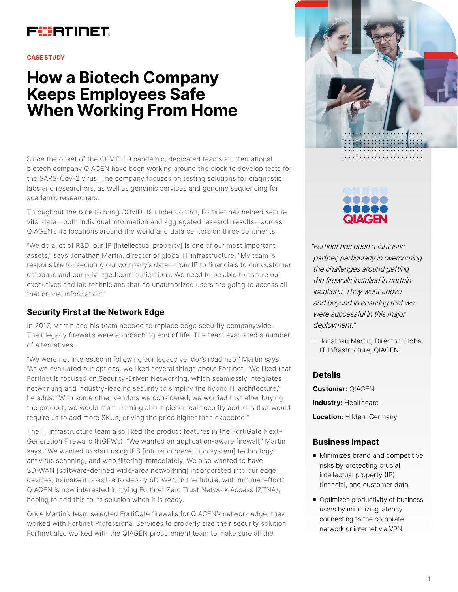## FURTINET

#### **CASE STUDY**

# **How a Biotech Company Keeps Employees Safe When Working From Home**

Since the onset of the COVID-19 pandemic, dedicated teams at international biotech company QIAGEN have been working around the clock to develop tests for the SARS-CoV-2 virus. The company focuses on testing solutions for diagnostic labs and researchers, as well as genomic services and genome sequencing for academic researchers.

Throughout the race to bring COVID-19 under control, Fortinet has helped secure vital data—both individual information and aggregated research results—across QIAGEN's 45 locations around the world and data centers on three continents.

"We do a lot of R&D; our IP [intellectual property] is one of our most important assets," says Jonathan Martin, director of global IT infrastructure. "My team is responsible for securing our company's data—from IP to financials to our customer database and our privileged communications. We need to be able to assure our executives and lab technicians that no unauthorized users are going to access all that crucial information."

### **Security First at the Network Edge**

In 2017, Martin and his team needed to replace edge security companywide. Their legacy firewalls were approaching end of life. The team evaluated a number of alternatives.

"We were not interested in following our legacy vendor's roadmap," Martin says. "As we evaluated our options, we liked several things about Fortinet. "We liked that Fortinet is focused on Security-Driven Networking, which seamlessly integrates networking and industry-leading security to simplify the hybrid IT architecture," he adds. "With some other vendors we considered, we worried that after buying the product, we would start learning about piecemeal security add-ons that would require us to add more SKUs, driving the price higher than expected."

The IT infrastructure team also liked the product features in the FortiGate Next-Generation Firewalls (NGFWs). "We wanted an application-aware firewall," Martin says. "We wanted to start using IPS [intrusion prevention system] technology, antivirus scanning, and web filtering immediately. We also wanted to have SD-WAN [software-defined wide-area networking] incorporated into our edge devices, to make it possible to deploy SD-WAN in the future, with minimal effort." QIAGEN is now interested in trying Fortinet Zero Trust Network Access (ZTNA), hoping to add this to its solution when it is ready.

Once Martin's team selected FortiGate firewalls for QIAGEN's network edge, they worked with Fortinet Professional Services to properly size their security solution. Fortinet also worked with the QIAGEN procurement team to make sure all the





"Fortinet has been a fantastic partner, particularly in overcoming the challenges around getting the firewalls installed in certain locations. They went above and beyond in ensuring that we were successful in this major deployment."

– Jonathan Martin, Director, Global IT Infrastructure, QIAGEN

#### **Details**

**Customer:** QIAGEN **Industry:** Healthcare **Location:** Hilden, Germany

#### **Business Impact**

- Minimizes brand and competitive risks by protecting crucial intellectual property (IP), financial, and customer data
- Optimizes productivity of business users by minimizing latency connecting to the corporate network or internet via VPN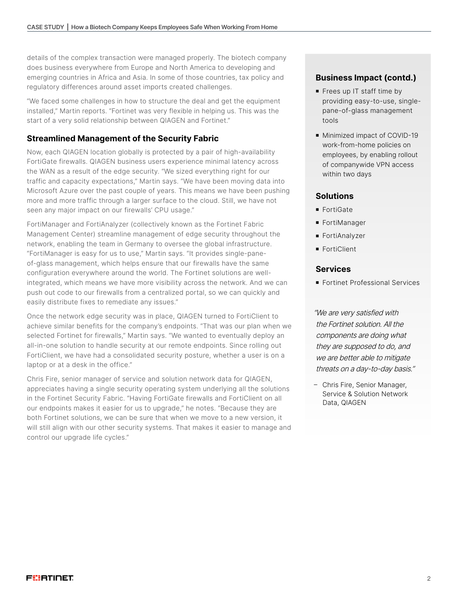details of the complex transaction were managed properly. The biotech company does business everywhere from Europe and North America to developing and emerging countries in Africa and Asia. In some of those countries, tax policy and regulatory differences around asset imports created challenges.

"We faced some challenges in how to structure the deal and get the equipment installed," Martin reports. "Fortinet was very flexible in helping us. This was the start of a very solid relationship between QIAGEN and Fortinet."

## **Streamlined Management of the Security Fabric**

Now, each QIAGEN location globally is protected by a pair of high-availability FortiGate firewalls. QIAGEN business users experience minimal latency across the WAN as a result of the edge security. "We sized everything right for our traffic and capacity expectations," Martin says. "We have been moving data into Microsoft Azure over the past couple of years. This means we have been pushing more and more traffic through a larger surface to the cloud. Still, we have not seen any major impact on our firewalls' CPU usage."

FortiManager and FortiAnalyzer (collectively known as the Fortinet Fabric Management Center) streamline management of edge security throughout the network, enabling the team in Germany to oversee the global infrastructure. "FortiManager is easy for us to use," Martin says. "It provides single-paneof-glass management, which helps ensure that our firewalls have the same configuration everywhere around the world. The Fortinet solutions are wellintegrated, which means we have more visibility across the network. And we can push out code to our firewalls from a centralized portal, so we can quickly and easily distribute fixes to remediate any issues."

Once the network edge security was in place, QIAGEN turned to FortiClient to achieve similar benefits for the company's endpoints. "That was our plan when we selected Fortinet for firewalls," Martin says. "We wanted to eventually deploy an all-in-one solution to handle security at our remote endpoints. Since rolling out FortiClient, we have had a consolidated security posture, whether a user is on a laptop or at a desk in the office."

Chris Fire, senior manager of service and solution network data for QIAGEN, appreciates having a single security operating system underlying all the solutions in the Fortinet Security Fabric. "Having FortiGate firewalls and FortiClient on all our endpoints makes it easier for us to upgrade," he notes. "Because they are both Fortinet solutions, we can be sure that when we move to a new version, it will still align with our other security systems. That makes it easier to manage and control our upgrade life cycles."

### **Business Impact (contd.)**

- Frees up IT staff time by providing easy-to-use, singlepane-of-glass management tools
- Minimized impact of COVID-19 work-from-home policies on employees, by enabling rollout of companywide VPN access within two days

#### **Solutions**

- FortiGate
- **FortiManager**
- **FortiAnalyzer**
- FortiClient

#### **Services**

**Fortinet Professional Services** 

"We are very satisfied with the Fortinet solution. All the components are doing what they are supposed to do, and we are better able to mitigate threats on a day-to-day basis."

– Chris Fire, Senior Manager, Service & Solution Network Data, QIAGEN